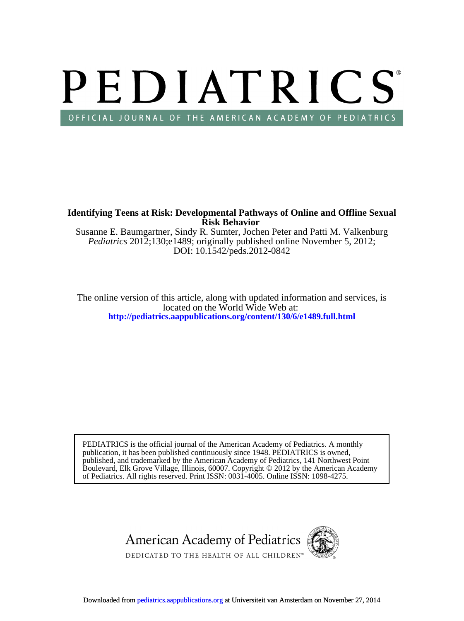# PEDIATRICS OFFICIAL JOURNAL OF THE AMERICAN ACADEMY OF PEDIATRICS

**Risk Behavior Identifying Teens at Risk: Developmental Pathways of Online and Offline Sexual**

DOI: 10.1542/peds.2012-0842 *Pediatrics* 2012;130;e1489; originally published online November 5, 2012; Susanne E. Baumgartner, Sindy R. Sumter, Jochen Peter and Patti M. Valkenburg

**<http://pediatrics.aappublications.org/content/130/6/e1489.full.html>** located on the World Wide Web at: The online version of this article, along with updated information and services, is

of Pediatrics. All rights reserved. Print ISSN: 0031-4005. Online ISSN: 1098-4275. Boulevard, Elk Grove Village, Illinois, 60007. Copyright © 2012 by the American Academy published, and trademarked by the American Academy of Pediatrics, 141 Northwest Point publication, it has been published continuously since 1948. PEDIATRICS is owned, PEDIATRICS is the official journal of the American Academy of Pediatrics. A monthly

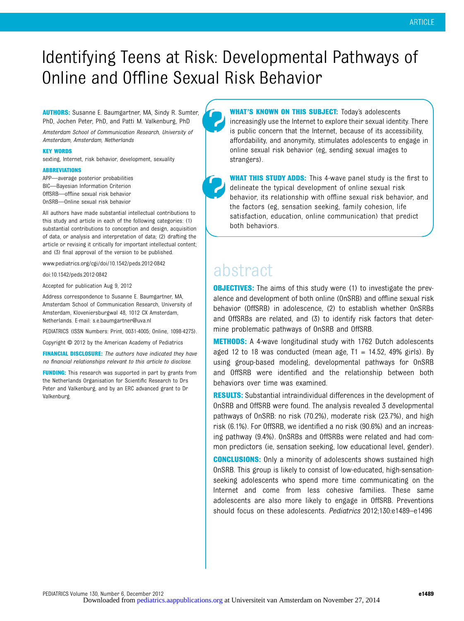## Identifying Teens at Risk: Developmental Pathways of Online and Offline Sexual Risk Behavior

AUTHORS: Susanne E. Baumgartner, MA, Sindy R. Sumter, PhD, Jochen Peter, PhD, and Patti M. Valkenburg, PhD

Amsterdam School of Communication Research, University of Amsterdam, Amsterdam, Netherlands

#### KEY WORDS

sexting, Internet, risk behavior, development, sexuality

#### ABBREVIATIONS

APP—average posterior probabilities BIC—Bayesian Information Criterion OffSRB—offline sexual risk behavior OnSRB—Online sexual risk behavior

All authors have made substantial intellectual contributions to this study and article in each of the following categories: (1) substantial contributions to conception and design, acquisition of data, or analysis and interpretation of data; (2) drafting the article or revising it critically for important intellectual content; and (3) final approval of the version to be published.

www.pediatrics.org/cgi/doi/10.1542/peds.2012-0842

doi:10.1542/peds.2012-0842

Accepted for publication Aug 9, 2012

Address correspondence to Susanne E. Baumgartner, MA, Amsterdam School of Communication Research, University of Amsterdam, Kloveniersburgwal 48, 1012 CX Amsterdam, Netherlands. E-mail: [s.e.baumgartner@uva.nl](mailto:s.e.baumgartner@uva.nl)

PEDIATRICS (ISSN Numbers: Print, 0031-4005; Online, 1098-4275).

Copyright © 2012 by the American Academy of Pediatrics

FINANCIAL DISCLOSURE: The authors have indicated they have no financial relationships relevant to this article to disclose.

**FUNDING:** This research was supported in part by grants from the Netherlands Organisation for Scientific Research to Drs Peter and Valkenburg, and by an ERC advanced grant to Dr Valkenburg.

**WHAT'S KNOWN ON THIS SUBJECT:** Today's adolescents increasingly use the Internet to explore their sexual identity. There is public concern that the Internet, because of its accessibility, affordability, and anonymity, stimulates adolescents to engage in online sexual risk behavior (eg, sending sexual images to strangers).

WHAT THIS STUDY ADDS: This 4-wave panel study is the first to delineate the typical development of online sexual risk behavior, its relationship with offline sexual risk behavior, and the factors (eg, sensation seeking, family cohesion, life satisfaction, education, online communication) that predict both behaviors.

### abstract

**OBJECTIVES:** The aims of this study were (1) to investigate the prevalence and development of both online (OnSRB) and offline sexual risk behavior (OffSRB) in adolescence, (2) to establish whether OnSRBs and OffSRBs are related, and (3) to identify risk factors that determine problematic pathways of OnSRB and OffSRB.

**METHODS:** A 4-wave longitudinal study with 1762 Dutch adolescents aged 12 to 18 was conducted (mean age,  $T1 = 14.52$ , 49% girls). By using group-based modeling, developmental pathways for OnSRB and OffSRB were identified and the relationship between both behaviors over time was examined.

**RESULTS:** Substantial intraindividual differences in the development of OnSRB and OffSRB were found. The analysis revealed 3 developmental pathways of OnSRB: no risk (70.2%), moderate risk (23.7%), and high risk (6.1%). For OffSRB, we identified a no risk (90.6%) and an increasing pathway (9.4%). OnSRBs and OffSRBs were related and had common predictors (ie, sensation seeking, low educational level, gender).

**CONCLUSIONS:** Only a minority of adolescents shows sustained high OnSRB. This group is likely to consist of low-educated, high-sensationseeking adolescents who spend more time communicating on the Internet and come from less cohesive families. These same adolescents are also more likely to engage in OffSRB. Preventions should focus on these adolescents. Pediatrics 2012;130:e1489–e1496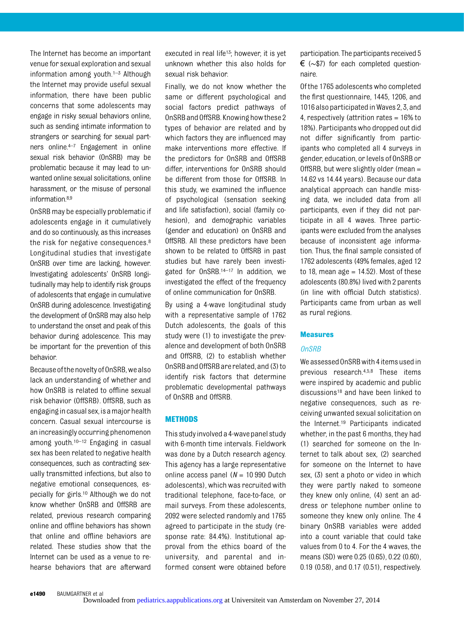The Internet has become an important venue for sexual exploration and sexual information among youth. $1-3$  Although the Internet may provide useful sexual information, there have been public concerns that some adolescents may engage in risky sexual behaviors online, such as sending intimate information to strangers or searching for sexual partners online.4–<sup>7</sup> Engagement in online sexual risk behavior (OnSRB) may be problematic because it may lead to unwanted online sexual solicitations, online harassment, or the misuse of personal information.8,9

OnSRB may be especially problematic if adolescents engage in it cumulatively and do so continuously, as this increases the risk for negative consequences.8 Longitudinal studies that investigate OnSRB over time are lacking, however. Investigating adolescents' OnSRB longitudinally may help to identify risk groups of adolescents that engage in cumulative OnSRB during adolescence. Investigating the development of OnSRB may also help to understand the onset and peak of this behavior during adolescence. This may be important for the prevention of this behavior.

Because ofthe novelty of OnSRB,we also lack an understanding of whether and how OnSRB is related to offline sexual risk behavior (OffSRB). OffSRB, such as engagingin casual sex,isamajorhealth concern. Casual sexual intercourse is an increasingly occurring phenomenon among youth.10–<sup>12</sup> Engaging in casual sex has been related to negative health consequences, such as contracting sexually transmitted infections, but also to negative emotional consequences, especially for girls.10 Although we do not know whether OnSRB and OffSRB are related, previous research comparing online and offline behaviors has shown that online and offline behaviors are related. These studies show that the Internet can be used as a venue to rehearse behaviors that are afterward

executed in real life<sup>13</sup>; however, it is yet unknown whether this also holds for sexual risk behavior.

Finally, we do not know whether the same or different psychological and social factors predict pathways of OnSRB and OffSRB. Knowing howthese 2 types of behavior are related and by which factors they are influenced may make interventions more effective. If the predictors for OnSRB and OffSRB differ, interventions for OnSRB should be different from those for OffSRB. In this study, we examined the influence of psychological (sensation seeking and life satisfaction), social (family cohesion), and demographic variables (gender and education) on OnSRB and OffSRB. All these predictors have been shown to be related to OffSRB in past studies but have rarely been investigated for OnSRB.14–<sup>17</sup> In addition, we investigated the effect of the frequency of online communication for OnSRB.

By using a 4-wave longitudinal study with a representative sample of 1762 Dutch adolescents, the goals of this study were (1) to investigate the prevalence and development of both OnSRB and OffSRB, (2) to establish whether OnSRBand OffSRBare related, and (3)to identify risk factors that determine problematic developmental pathways of OnSRB and OffSRB.

#### METHODS

This study involved a 4-wavepanel study with 6-month time intervals. Fieldwork was done by a Dutch research agency. This agency has a large representative online access panel ( $N = 10990$  Dutch adolescents), which was recruited with traditional telephone, face-to-face, or mail surveys. From these adolescents, 2092 were selected randomly and 1765 agreed to participate in the study (response rate: 84.4%). Institutional approval from the ethics board of the university, and parental and informed consent were obtained before

participation. The participants received 5 € (∼\$7) for each completed questionnaire.

Of the 1765 adolescents who completed the first questionnaire, 1445, 1206, and 1016 also participated in Waves 2, 3, and 4, respectively (attrition rates = 16% to 18%). Participants who dropped out did not differ significantly from participants who completed all 4 surveys in gender, education, or levels of OnSRB or OffSRB, but were slightly older (mean = 14.62 vs 14.44 years). Because our data analytical approach can handle missing data, we included data from all participants, even if they did not participate in all 4 waves. Three participants were excluded from the analyses because of inconsistent age information. Thus, the final sample consisted of 1762 adolescents (49% females, aged 12 to 18, mean age  $= 14.52$ ). Most of these adolescents (80.8%) lived with 2 parents (in line with official Dutch statistics). Participants came from urban as well as rural regions.

#### Measures

#### OnSRB

We assessed OnSRBwith 4 items used in previous research.4,5,8 These items were inspired by academic and public discussions<sup>18</sup> and have been linked to negative consequences, such as receiving unwanted sexual solicitation on the Internet.19 Participants indicated whether, in the past 6 months, they had (1) searched for someone on the Internet to talk about sex, (2) searched for someone on the Internet to have sex, (3) sent a photo or video in which they were partly naked to someone they knew only online, (4) sent an address or telephone number online to someone they knew only online. The 4 binary OnSRB variables were added into a count variable that could take values from 0 to 4. For the 4 waves, the means (SD) were 0.25 (0.65), 0.22 (0.60), 0.19 (0.58), and 0.17 (0.51), respectively.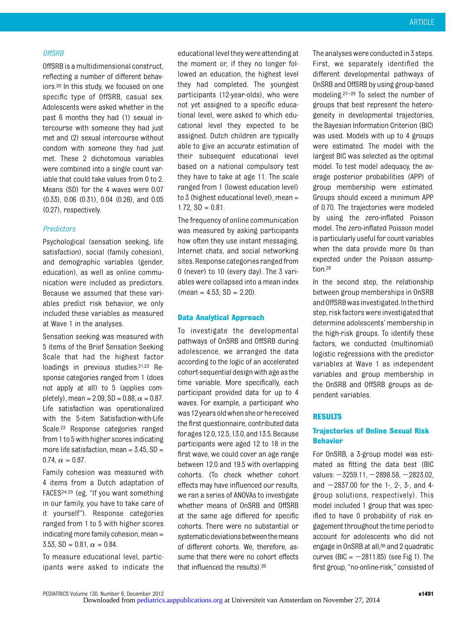#### OffSRB

OffSRB is a multidimensional construct, reflecting a number of different behaviors.20 In this study, we focused on one specific type of OffSRB, casual sex. Adolescents were asked whether in the past 6 months they had (1) sexual intercourse with someone they had just met and (2) sexual intercourse without condom with someone they had just met. These 2 dichotomous variables were combined into a single count variable that could take values from 0 to 2. Means (SD) for the 4 waves were 0.07 (0.33), 0.06 (0.31), 0.04 (0.26), and 0.05 (0.27), respectively.

#### Predictors

Psychological (sensation seeking, life satisfaction), social (family cohesion), and demographic variables (gender, education), as well as online communication were included as predictors. Because we assumed that these variables predict risk behavior, we only included these variables as measured at Wave 1 in the analyses.

Sensation seeking was measured with 5 items of the Brief Sensation Seeking Scale that had the highest factor loadings in previous studies.<sup>21,22</sup> Response categories ranged from 1 (does not apply at all) to 5 (applies completely), mean = 2.09, SD = 0.88,  $\alpha$  = 0.87. Life satisfaction was operationalized with the 5-item Satisfaction-with-Life Scale.23 Response categories ranged from 1 to 5 with higher scores indicating more life satisfaction, mean =  $3.45$ , SD = 0.74,  $\alpha = 0.87$ .

Family cohesion was measured with 4 items from a Dutch adaptation of FACES24,25 (eg, "If you want something in our family, you have to take care of it yourself"). Response categories ranged from 1 to 5 with higher scores indicating more family cohesion, mean = 3.53, SD = 0.81,  $\alpha$  = 0.84.

To measure educational level, participants were asked to indicate the

educational levelthey were attending at the moment or, if they no longer followed an education, the highest level they had completed. The youngest participants (12-year-olds), who were not yet assigned to a specific educational level, were asked to which educational level they expected to be assigned. Dutch children are typically able to give an accurate estimation of their subsequent educational level based on a national compulsory test they have to take at age 11. The scale ranged from 1 (lowest education level) to 3 (highest educational level), mean =  $1.72$ ,  $SD = 0.81$ .

The frequency of online communication was measured by asking participants how often they use instant messaging, Internet chats, and social networking sites. Response categories ranged from 0 (never) to 10 (every day). The 3 variables were collapsed into a mean index  $(\text{mean} = 4.53; SD = 2.20).$ 

#### Data Analytical Approach

To investigate the developmental pathways of OnSRB and OffSRB during adolescence, we arranged the data according to the logic of an accelerated cohort-sequential designwith age asthe time variable. More specifically, each participant provided data for up to 4 waves. For example, a participant who was12 yearsoldwhen sheorhe received the first questionnaire, contributed data forages12.0,12.5,13.0,and13.5. Because participants were aged 12 to 18 in the first wave, we could cover an age range between 12.0 and 19.5 with overlapping cohorts. (To check whether cohort effects may have influenced our results, we ran a series of ANOVAs to investigate whether means of OnSRB and OffSRB at the same age differed for specific cohorts. There were no substantial or systematic deviations between the means of different cohorts. We, therefore, assume that there were no cohort effects that influenced the results).26

The analyses were conducted in 3 steps. First, we separately identified the different developmental pathways of OnSRB and OffSRB by using group-based modeling.27–<sup>29</sup> To select the number of groups that best represent the heterogeneity in developmental trajectories, the Bayesian Information Criterion (BIC) was used. Models with up to 4 groups were estimated. The model with the largest BIC was selected as the optimal model. To test model adequacy, the average posterior probabilities (APP) of group membership were estimated. Groups should exceed a minimum APP of 0.70. The trajectories were modeled by using the zero-inflated Poisson model. The zero-inflated Poisson model is particularly useful for count variables when the data provide more 0s than expected under the Poisson assumption.28

In the second step, the relationship between group memberships in OnSRB and OffSRBwasinvestigated. Inthethird step, risk factors were investigated that determine adolescents' membership in the high-risk groups. To identify these factors, we conducted (multinomial) logistic regressions with the predictor variables at Wave 1 as independent variables and group membership in the OnSRB and OffSRB groups as dependent variables.

#### RESULTS

#### Trajectories of Online Sexual Risk Behavior

For OnSRB, a 3-group model was estimated as fitting the data best (BIC values:  $-3259.11, -2898.58, -2823.02,$ and  $-2837.00$  for the 1-, 2-, 3-, and 4group solutions, respectively). This model included 1 group that was specified to have 0 probability of risk engagement throughout the time period to account for adolescents who did not engage in OnSRB at all,<sup>30</sup> and 2 quadratic curves (BIC =  $-2811.85$ ) (see Fig 1). The first group, "no-online-risk," consisted of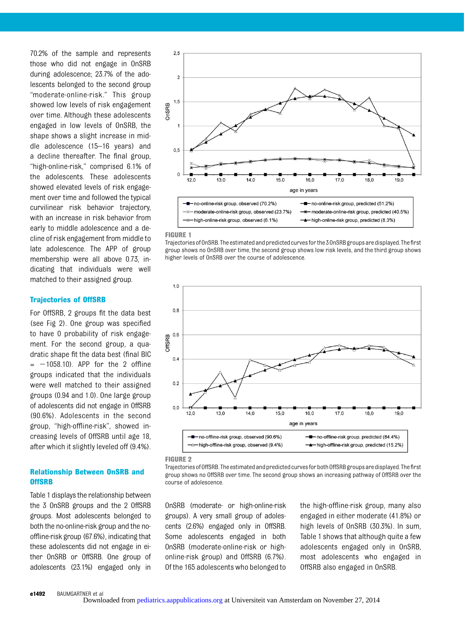70.2% of the sample and represents those who did not engage in OnSRB during adolescence; 23.7% of the adolescents belonged to the second group "moderate-online-risk." This group showed low levels of risk engagement over time. Although these adolescents engaged in low levels of OnSRB, the shape shows a slight increase in middle adolescence (15–16 years) and a decline thereafter. The final group, "high-online-risk," comprised 6.1% of the adolescents. These adolescents showed elevated levels of risk engagement over time and followed the typical curvilinear risk behavior trajectory, with an increase in risk behavior from early to middle adolescence and a decline of risk engagement from middle to late adolescence. The APP of group membership were all above 0.73, indicating that individuals were well matched to their assigned group.

#### Trajectories of OffSRB

For OffSRB, 2 groups fit the data best (see Fig 2). One group was specified to have 0 probability of risk engagement. For the second group, a quadratic shape fit the data best (final BIC  $=$  -1058.10). APP for the 2 offline groups indicated that the individuals were well matched to their assigned groups (0.94 and 1.0). One large group of adolescents did not engage in OffSRB (90.6%). Adolescents in the second group, "high-offline-risk", showed increasing levels of OffSRB until age 18, after which it slightly leveled off (9.4%).

#### Relationship Between OnSRB and **OffSRB**

Table 1 displays the relationship between the 3 OnSRB groups and the 2 OffSRB groups. Most adolescents belonged to both the no-online-risk group and the nooffline-risk group (67.6%), indicating that these adolescents did not engage in either OnSRB or OffSRB. One group of adolescents (23.1%) engaged only in





Trajectories of OnSRB. The estimated and predicted curves for the 3 OnSRB groups are displayed. The first group shows no OnSRB over time, the second group shows low risk levels, and the third group shows higher levels of OnSRB over the course of adolescence.



FIGURE 2

Trajectories of OffSRB. The estimated and predicted curves for both OffSRB groups are displayed. The first group shows no OffSRB over time. The second group shows an increasing pathway of OffSRB over the course of adolescence.

OnSRB (moderate- or high-online-risk groups). A very small group of adolescents (2.6%) engaged only in OffSRB. Some adolescents engaged in both OnSRB (moderate-online-risk or highonline-risk group) and OffSRB (6.7%). Of the 165 adolescents who belonged to

the high-offline-risk group, many also engaged in either moderate (41.8%) or high levels of OnSRB (30.3%). In sum, Table 1 shows that although quite a few adolescents engaged only in OnSRB, most adolescents who engaged in OffSRB also engaged in OnSRB.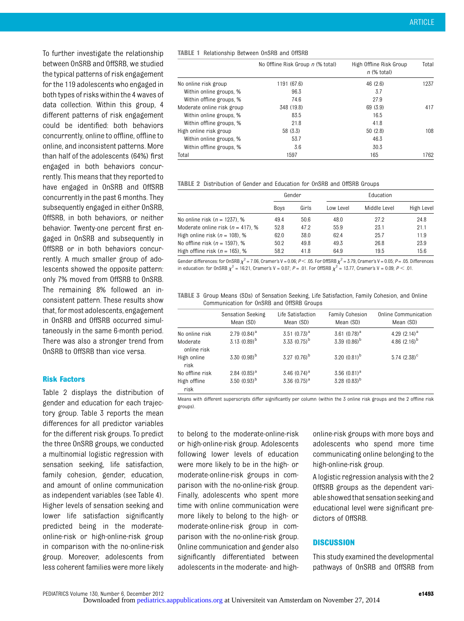To further investigate the relationship between OnSRB and OffSRB, we studied the typical patterns of risk engagement for the 119 adolescents who engaged in both types of risks within the 4 waves of data collection. Within this group, 4 different patterns of risk engagement could be identified: both behaviors concurrently, online to offline, offline to online, and inconsistent patterns. More than half of the adolescents (64%) first engaged in both behaviors concurrently. This means that they reported to have engaged in OnSRB and OffSRB concurrently in the past 6 months. They subsequently engaged in either OnSRB, OffSRB, in both behaviors, or neither behavior. Twenty-one percent first engaged in OnSRB and subsequently in OffSRB or in both behaviors concurrently. A much smaller group of adolescents showed the opposite pattern: only 7% moved from OffSRB to OnSRB. The remaining 8% followed an inconsistent pattern. These results show that, for most adolescents, engagement in OnSRB and OffSRB occurred simultaneously in the same 6-month period. There was also a stronger trend from OnSRB to OffSRB than vice versa.

#### Risk Factors

Table 2 displays the distribution of gender and education for each trajectory group. Table 3 reports the mean differences for all predictor variables for the different risk groups. To predict the three OnSRB groups, we conducted a multinomial logistic regression with sensation seeking, life satisfaction, family cohesion, gender, education, and amount of online communication as independent variables (see Table 4). Higher levels of sensation seeking and lower life satisfaction significantly predicted being in the moderateonline-risk or high-online-risk group in comparison with the no-online-risk group. Moreover, adolescents from less coherent families were more likely

TABLE 1 Relationship Between OnSRB and OffSRB

|                            | No Offline Risk Group n (% total) | High Offline Risk Group<br>$n$ (% total) | Total |
|----------------------------|-----------------------------------|------------------------------------------|-------|
| No online risk group       | 1191 (67.6)                       | 46(2.6)                                  | 1237  |
| Within online groups, %    | 96.3                              | 3.7                                      |       |
| Within offline groups, %   | 74.6                              | 27.9                                     |       |
| Moderate online risk group | 348 (19.8)                        | 69 (3.9)                                 | 417   |
| Within online groups, %    | 83.5                              | 16.5                                     |       |
| Within offline groups, %   | 21.8                              | 41.8                                     |       |
| High online risk group     | 58 (3.3)                          | 50(2.8)                                  | 108   |
| Within online groups, %    | 53.7                              | 46.3                                     |       |
| Within offline groups, %   | 3.6                               | 30.3                                     |       |
| Total                      | 1597                              | 165                                      | 1762  |

| <b>TABLE 2</b> Distribution of Gender and Education for OnSRB and OffSRB Groups |  |  |  |  |
|---------------------------------------------------------------------------------|--|--|--|--|
|                                                                                 |  |  |  |  |

|                                       | Gender |       |           |              |            |
|---------------------------------------|--------|-------|-----------|--------------|------------|
|                                       | Boys   | Girls | Low Level | Middle Level | High Level |
| No online risk $(n = 1237)$ , %       | 49.4   | 50.6  | 48.0      | 27.2         | 24.8       |
| Moderate online risk ( $n = 417$ ), % | 52.8   | 47.2  | 55.9      | 23.1         | 21.1       |
| High online risk ( $n = 108$ ), %     | 62.0   | 38.0  | 62.4      | 25.7         | 11.9       |
| No offline risk ( $n = 1597$ ), %     | 50.2   | 49.8  | 49.3      | 26.8         | 23.9       |
| High offline risk ( $n = 165$ ), %    | 58.2   | 41.8  | 64.9      | 19.5         | 15.6       |

Gender differences: for OnSRB  $\chi^2$  = 7.06, Cramer's V = 0.06; P < .05. For OffSRB  $\chi^2$  = 3.79, Cramer's V = 0.05; P = .05. Differences in education: for OnSRB  $\chi^2 = 16.21$ , Cramer's V = 0.07; P = .01. For OffSRB  $\chi^2 = 13.77$ , Cramer's V = 0.09; P < .01.

TABLE 3 Group Means (SDs) of Sensation Seeking, Life Satisfaction, Family Cohesion, and Online Communication for OnSRB and OffSRB Groups

|                         | Sensation Seeking<br>Mean (SD) | Life Satisfaction<br>Mean (SD) | <b>Family Cohesion</b><br>Mean (SD) | Online Communication<br>Mean (SD) |
|-------------------------|--------------------------------|--------------------------------|-------------------------------------|-----------------------------------|
| No online risk          | $2.79(0.84)^a$                 | $3.51 (0.73)^a$                | $3.61 (0.78)^a$                     | 4.29 $(2.14)^a$                   |
| Moderate<br>online risk | $3.13(0.89)^b$                 | $3.33 (0.75)^b$                | $3.39(0.86)^b$                      | 4.86 $(2.16)^b$                   |
| High online<br>risk     | $3.30(0.98)^{b}$               | 3.27 $(0.76)^b$                | $3.20(0.81)^b$                      | $5.74$ (2.38) <sup>c</sup>        |
| No offline risk         | 2.84 $(0.85)^a$                | $3.46$ (0.74) <sup>a</sup>     | $3.56$ $(0.81)$ <sup>a</sup>        |                                   |
| High offline<br>risk    | $3.50(0.93)^b$                 | $3.36$ $(0.75)^a$              | 3.28 $(0.83)^{b}$                   |                                   |

Means with different superscripts differ significantly per column (within the 3 online risk groups and the 2 offline risk groups).

to belong to the moderate-online-risk or high-online-risk group. Adolescents following lower levels of education were more likely to be in the high- or moderate-online-risk groups in comparison with the no-online-risk group. Finally, adolescents who spent more time with online communication were more likely to belong to the high- or moderate-online-risk group in comparison with the no-online-risk group. Online communication and gender also significantly differentiated between adolescents in the moderate- and high-

online-risk groups with more boys and adolescents who spend more time communicating online belonging to the high-online-risk group.

A logistic regression analysis with the 2 OffSRB groups as the dependent variable showedthat sensation seeking and educational level were significant predictors of OffSRB.

#### **DISCUSSION**

This study examined the developmental pathways of OnSRB and OffSRB from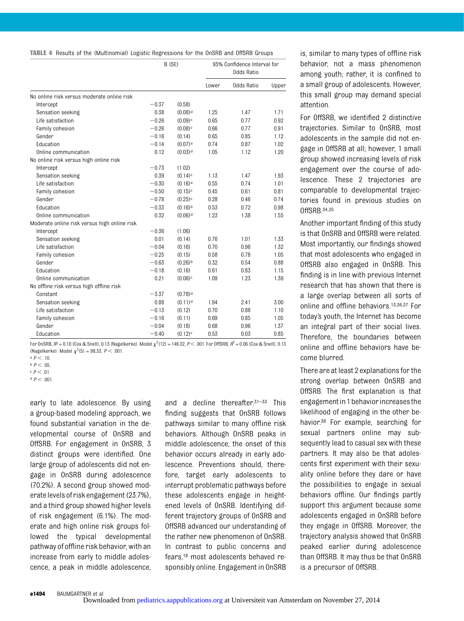| <b>TABLE 4</b> Results of the (Multinomial) Logistic Regressions for the OnSRB and OffSRB Groups |  |  |  |  |  |  |  |  |  |  |
|--------------------------------------------------------------------------------------------------|--|--|--|--|--|--|--|--|--|--|
|--------------------------------------------------------------------------------------------------|--|--|--|--|--|--|--|--|--|--|

|                                              | B (SE)  |                       | 95% Confidence Interval for<br>Odds Ratio |            |       |  |
|----------------------------------------------|---------|-----------------------|-------------------------------------------|------------|-------|--|
|                                              |         |                       | Lower                                     | Odds Ratio | Upper |  |
| No online risk versus moderate online risk   |         |                       |                                           |            |       |  |
| Intercept                                    | $-0.37$ | (0.58)                |                                           |            |       |  |
| Sensation seeking                            | 0.38    | $(0.08)$ <sup>d</sup> | 1.25                                      | 1.47       | 1.71  |  |
| Life satisfaction                            | $-0.26$ | $(0.09)$ <sup>c</sup> | 0.65                                      | 0.77       | 0.92  |  |
| Family cohesion                              | $-0.26$ | $(0.08)$ <sup>c</sup> | 0.66                                      | 0.77       | 0.91  |  |
| Gender                                       | $-0.16$ | (0.14)                | 0.65                                      | 0.85       | 1.12  |  |
| Education                                    | $-0.14$ | $(0.07)$ a            | 0.74                                      | 0.87       | 1.02  |  |
| Online communication                         | 0.12    | $(0.03)$ <sup>d</sup> | 1.05                                      | 1.12       | 1.20  |  |
| No online risk versus high online risk       |         |                       |                                           |            |       |  |
| Intercept                                    | $-0.73$ | (1.02)                |                                           |            |       |  |
| Sensation seeking                            | 0.39    | $(0.14)$ <sup>c</sup> | 1.13                                      | 1.47       | 1.93  |  |
| Life satisfaction                            | $-0.30$ | $(0.16)$ <sup>a</sup> | 0.55                                      | 0.74       | 1.01  |  |
| Family cohesion                              | $-0.50$ | $(0.15)$ <sup>c</sup> | 0.45                                      | 0.61       | 0.81  |  |
| Gender                                       | $-0.78$ | $(0.25)$ <sup>c</sup> | 0.28                                      | 0.46       | 0.74  |  |
| Education                                    | $-0.33$ | $(0.16)$ <sup>b</sup> | 0.53                                      | 0.72       | 0.98  |  |
| Online communication                         | 0.32    | $(0.06)$ <sup>d</sup> | 1.23                                      | 1.38       | 1.55  |  |
| Moderate online risk versus high online risk |         |                       |                                           |            |       |  |
| Intercept                                    | $-0.36$ | (1.06)                |                                           |            |       |  |
| Sensation seeking                            | 0.01    | (0.14)                | 0.76                                      | 1.01       | 1.33  |  |
| Life satisfaction                            | $-0.04$ | (0.16)                | 0.70                                      | 0.96       | 1.32  |  |
| Family cohesion                              | $-0.25$ | (0.15)                | 0.58                                      | 0.78       | 1.05  |  |
| Gender                                       | $-0.63$ | $(0.26)$ <sup>b</sup> | 0.32                                      | 0.54       | 0.88  |  |
| Education                                    | $-0.18$ | (0.16)                | 0.61                                      | 0.83       | 1.15  |  |
| Online communication                         | 0.21    | $(0.06)$ <sup>c</sup> | 1.09                                      | 1.23       | 1.39  |  |
| No offline risk versus high offline risk     |         |                       |                                           |            |       |  |
| Constant                                     | $-3.37$ | $(0.78)$ <sup>d</sup> |                                           |            |       |  |
| Sensation seeking                            | 0.88    | $(0.11)$ <sup>d</sup> | 1.94                                      | 2.41       | 3.00  |  |
| Life satisfaction                            | $-0.13$ | (0.12)                | 0.70                                      | 0.88       | 1.10  |  |
| Family cohesion                              | $-0.16$ | (0.11)                | 0.69                                      | 0.85       | 1.05  |  |
| Gender                                       | $-0.04$ | (0.18)                | 0.68                                      | 0.96       | 1.37  |  |
| Education                                    | $-0.40$ | $(0.12)$ <sup>c</sup> | 0.53                                      | 0.03       | 0.85  |  |

For OnSRB,  $R^2 = 0.10$  (Cox & Snell), 0.13 (Nagelkerke). Model  $\chi^2(12) = 146.32$ ,  $P < .001$ . For OffSRB,  $R^2 = 0.06$  (Cox & Snell), 0.13 (Nagelkerke). Model  $\chi^2(5) = 98.33, P < .001$ .

early to late adolescence. By using a group-based modeling approach, we found substantial variation in the developmental course of OnSRB and OffSRB. For engagement in OnSRB, 3 distinct groups were identified. One large group of adolescents did not engage in OnSRB during adolescence (70.2%). A second group showed moderate levels of risk engagement (23.7%), and a third group showed higher levels of risk engagement (6.1%). The moderate and high online risk groups followed the typical developmental pathway of offline risk behavior, with an increase from early to middle adolescence, a peak in middle adolescence,

and a decline thereafter.31–<sup>33</sup> This finding suggests that OnSRB follows pathways similar to many offline risk behaviors. Although OnSRB peaks in middle adolescence, the onset of this behavior occurs already in early adolescence. Preventions should, therefore, target early adolescents to interrupt problematic pathways before these adolescents engage in heightened levels of OnSRB. Identifying different trajectory groups of OnSRB and OffSRB advanced our understanding of the rather new phenomenon of OnSRB. In contrast to public concerns and fears,18 most adolescents behaved responsibly online. Engagement in OnSRB

is, similar to many types of offline risk behavior, not a mass phenomenon among youth; rather, it is confined to a small group of adolescents. However, this small group may demand special attention.

For OffSRB, we identified 2 distinctive trajectories. Similar to OnSRB, most adolescents in the sample did not engage in OffSRB at all; however, 1 small group showed increasing levels of risk engagement over the course of adolescence. These 2 trajectories are comparable to developmental trajectories found in previous studies on OffSRB.34,35

Another important finding of this study is that OnSRB and OffSRB were related. Most importantly, our findings showed that most adolescents who engaged in OffSRB also engaged in OnSRB. This finding is in line with previous Internet research that has shown that there is a large overlap between all sorts of online and offline behaviors.13,36,37 For today's youth, the Internet has become an integral part of their social lives. Therefore, the boundaries between online and offline behaviors have become blurred.

There are at least 2 explanations for the strong overlap between OnSRB and OffSRB. The first explanation is that engagement in 1 behavior increasesthe likelihood of engaging in the other behavior.38 For example, searching for sexual partners online may subsequently lead to casual sex with these partners. It may also be that adolescents first experiment with their sexuality online before they dare or have the possibilities to engage in sexual behaviors offline. Our findings partly support this argument because some adolescents engaged in OnSRB before they engage in OffSRB. Moreover, the trajectory analysis showed that OnSRB peaked earlier during adolescence than OffSRB. It may thus be that OnSRB is a precursor of OffSRB.

a  $P < .10$ .

b  $P < 0.5$ 

 $c$   $P < .01$ .

d  $P < .001$ .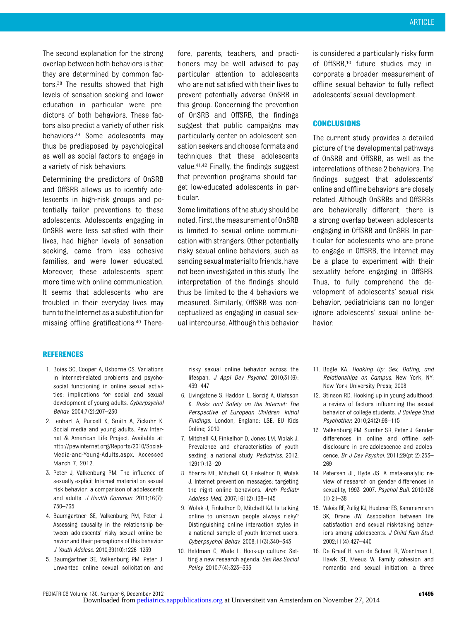The second explanation for the strong overlap between both behaviors is that they are determined by common factors.38 The results showed that high levels of sensation seeking and lower education in particular were predictors of both behaviors. These factors also predict a variety of other risk behaviors.39 Some adolescents may thus be predisposed by psychological as well as social factors to engage in a variety of risk behaviors.

Determining the predictors of OnSRB and OffSRB allows us to identify adolescents in high-risk groups and potentially tailor preventions to these adolescents. Adolescents engaging in OnSRB were less satisfied with their lives, had higher levels of sensation seeking, came from less cohesive families, and were lower educated. Moreover, these adolescents spent more time with online communication. It seems that adolescents who are troubled in their everyday lives may turn to the Internet as a substitution for missing offline gratifications.40 There-

fore, parents, teachers, and practitioners may be well advised to pay particular attention to adolescents who are not satisfied with their lives to prevent potentially adverse OnSRB in this group. Concerning the prevention of OnSRB and OffSRB, the findings suggest that public campaigns may particularly center on adolescent sensation seekers and choose formats and techniques that these adolescents value.41,42 Finally, the findings suggest that prevention programs should target low-educated adolescents in particular.

Some limitations of the study should be noted. First, the measurement of OnSRB is limited to sexual online communication with strangers. Other potentially risky sexual online behaviors, such as sending sexual material to friends, have not been investigated in this study. The interpretation of the findings should thus be limited to the 4 behaviors we measured. Similarly, OffSRB was conceptualized as engaging in casual sexual intercourse. Although this behavior is considered a particularly risky form of OffSRB,10 future studies may incorporate a broader measurement of offline sexual behavior to fully reflect adolescents' sexual development.

#### **CONCLUSIONS**

The current study provides a detailed picture of the developmental pathways of OnSRB and OffSRB, as well as the interrelations of these 2 behaviors. The findings suggest that adolescents' online and offline behaviors are closely related. Although OnSRBs and OffSRBs are behaviorally different, there is a strong overlap between adolescents engaging in OffSRB and OnSRB. In particular for adolescents who are prone to engage in OffSRB, the Internet may be a place to experiment with their sexuality before engaging in OffSRB. Thus, to fully comprehend the development of adolescents' sexual risk behavior, pediatricians can no longer ignore adolescents' sexual online behavior.

#### REFERENCES

- 1. Boies SC, Cooper A, Osborne CS. Variations in Internet-related problems and psychosocial functioning in online sexual activities: implications for social and sexual development of young adults. Cyberpsychol Behav. 2004;7(2):207–230
- 2. Lenhart A, Purcell K, Smith A, Zickuhr K. Social media and young adults. Pew Internet & American Life Project. Available at: [http://pewinternet.org/Reports/2010/Social-](http://pewinternet.org/Reports/2010/Social-Media-and-Young-Adults.aspx.)[Media-and-Young-Adults.aspx.](http://pewinternet.org/Reports/2010/Social-Media-and-Young-Adults.aspx.) Accessed March 7, 2012.
- 3. Peter J, Valkenburg PM. The influence of sexually explicit Internet material on sexual risk behavior: a comparison of adolescents and adults. J Health Commun. 2011;16(7): 750–765
- 4. Baumgartner SE, Valkenburg PM, Peter J. Assessing causality in the relationship between adolescents' risky sexual online behavior and their perceptions of this behavior. J Youth Adolesc. 2010;39(10):1226–1239
- 5. Baumgartner SE, Valkenburg PM, Peter J. Unwanted online sexual solicitation and

risky sexual online behavior across the lifespan. J Appl Dev Psychol. 2010;31(6): 439–447

- 6. Livingstone S, Haddon L, Görzig A, Olafsson K. Risks and Safety on the Internet: The Perspective of European Children. Initial Findings. London, England: LSE, EU Kids Online; 2010
- 7. Mitchell KJ, Finkelhor D, Jones LM, Wolak J. Prevalence and characteristics of youth sexting: a national study. Pediatrics. 2012; 129(1):13–20
- 8. Ybarra ML, Mitchell KJ, Finkelhor D, Wolak J. Internet prevention messages: targeting the right online behaviors. Arch Pediatr Adolesc Med. 2007;161(2):138–145
- 9. Wolak J, Finkelhor D, Mitchell KJ. Is talking online to unknown people always risky? Distinguishing online interaction styles in a national sample of youth Internet users. Cyberpsychol Behav. 2008;11(3):340–343
- 10. Heldman C, Wade L. Hook-up culture: Setting a new research agenda. Sex Res Social Policy. 2010;7(4):323–333
- 11. Bogle KA. Hooking Up: Sex, Dating, and Relationships on Campus. New York, NY: New York University Press; 2008
- 12. Stinson RD. Hooking up in young adulthood: a review of factors influencing the sexual behavior of college students. J College Stud Psychother. 2010;24(2):98–115
- 13. Valkenburg PM, Sumter SR, Peter J. Gender differences in online and offline selfdisclosure in pre-adolescence and adolescence. Br J Dev Psychol. 2011;29(pt 2):253– 269
- 14. Petersen JL, Hyde JS. A meta-analytic review of research on gender differences in sexuality, 1993–2007. Psychol Bull. 2010;136 (1):21–38
- 15. Valois RF, Zullig KJ, Huebner ES, Kammermann SK, Drane JW. Association between life satisfaction and sexual risk-taking behaviors among adolescents. J Child Fam Stud. 2002;11(4):427–440
- 16. De Graaf H, van de Schoot R, Woertman L, Hawk ST, Meeus W. Family cohesion and romantic and sexual initiation: a three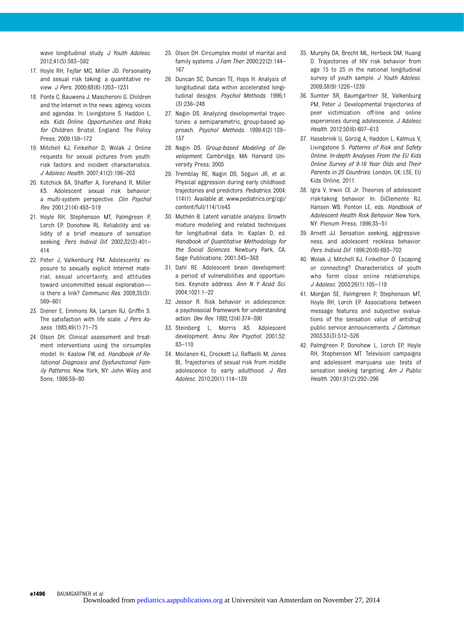wave longitudinal study. J Youth Adolesc. 2012;41(5):583–592

- 17. Hoyle RH, Fejfar MC, Miller JD. Personality and sexual risk taking: a quantitative review. J Pers. 2000;68(6):1203–1231
- 18. Ponte C, Bauwens J, Mascheroni G. Children and the Internet in the news: agency, voices and agendas. In: Livingstone S, Haddon L, eds. Kids Online. Opportunities and Risks for Children. Bristol, England: The Policy Press; 2009:159–172
- 19. Mitchell KJ, Finkelhor D, Wolak J. Online requests for sexual pictures from youth: risk factors and incident characteristics. J Adolesc Health. 2007;41(2):196–203
- 20. Kotchick BA, Shaffer A, Forehand R, Miller KS. Adolescent sexual risk behavior: a multi-system perspective. Clin Psychol Rev. 2001;21(4):493–519
- 21. Hoyle RH, Stephenson MT, Palmgreen P, Lorch EP, Donohew RL. Reliability and validity of a brief measure of sensation seeking. Pers Individ Dif. 2002;32(3):401– 414
- 22. Peter J, Valkenburg PM. Adolescents' exposure to sexually explicit Internet material, sexual uncertainty, and attitudes toward uncommitted sexual exploration is there a link? Communic Res. 2008;35(5): 569–601
- 23. Diener E, Emmons RA, Larsen RJ, Griffin S. The satisfaction with life scale. J Pers Assess. 1985;49(1):71–75
- 24. Olson DH. Clinical assessment and treatment interventions using the circumplex model. In: Kaslow FW, ed. Handbook of Relational Diagnosis and Dysfunctional Family Patterns. New York, NY: John Wiley and Sons; 1996:59–80
- 25. Olson DH. Circumplex model of marital and family systems. J Fam Ther. 2000;22(2):144-167
- 26. Duncan SC, Duncan TE, Hops H. Analysis of longitudinal data within accelerated longitudinal designs. Psychol Methods. 1996;1 (3):236–248
- 27. Nagin DS. Analyzing developmental trajectories: a semiparametric, group-based approach. Psychol Methods. 1999;4(2):139– 157
- 28. Nagin DS. Group-based Modeling of Development. Cambridge, MA: Harvard University Press; 2005
- 29. Tremblay RE, Nagin DS, Séguin JR, et al. Physical aggression during early childhood: trajectories and predictors. Pediatrics. 2004; 114(1). Available at: www.pediatrics.org/cgi/ content/full/114/1/e43
- 30. Muthén B. Latent variable analysis: Growth mixture modeling and related techniques for longitudinal data. In: Kaplan D, ed. Handbook of Quantitative Methodology for the Social Sciences. Newbury Park, CA: Sage Publications; 2001:345–368
- 31. Dahl RE. Adolescent brain development: a period of vulnerabilities and opportunities. Keynote address. Ann N Y Acad Sci. 2004;1021:1–22
- 32. Jessor R. Risk behavior in adolescence: a psychosocial framework for understanding action. Dev Rev. 1992;12(4):374–390
- 33. Steinberg L, Morris AS. Adolescent development. Annu Rev Psychol. 2001;52: 83–110
- 34. Moilanen KL, Crockett LJ, Raffaelli M, Jones BL. Trajectories of sexual risk from middle adolescence to early adulthood. J Res Adolesc. 2010;20(1):114–139
- 35. Murphy DA, Brecht ML, Herbeck DM, Huang D. Trajectories of HIV risk behavior from age 15 to 25 in the national longitudinal survey of youth sample. J Youth Adolesc. 2009;38(9):1226–1239
- 36. Sumter SR, Baumgartner SE, Valkenburg PM, Peter J. Developmental trajectories of peer victimization: off-line and online experiences during adolescence. J Adolesc Health. 2012;50(6):607–613
- 37. Hasebrink U, Görzig A, Haddon L, Kalmus V, Livingstone S. Patterns of Risk and Safety Online. In-depth Analyses From the EU Kids Online Survey of 9-16 Year Olds and Their Parents in 25 Countries. London, UK: LSE, EU Kids Online; 2011.
- 38. Igra V, Irwin CE Jr. Theories of adolescent risk-taking behavior. In: DiClemente RJ, Hansen WB, Ponton LE, eds. Handbook of Adolescent Health Risk Behavior. New York, NY: Plenum Press; 1996:35–51
- 39. Arnett JJ. Sensation seeking, aggressiveness, and adolescent reckless behavior. Pers Individ Dif. 1996;20(6):693–702
- 40. Wolak J, Mitchell KJ, Finkelhor D. Escaping or connecting? Characteristics of youth who form close online relationships. J Adolesc. 2003;26(1):105–119
- 41. Morgan SE, Palmgreen P, Stephenson MT, Hoyle RH, Lorch EP. Associations between message features and subjective evaluations of the sensation value of antidrug public service announcements. J Commun. 2003;53(3):512–526
- 42. Palmgreen P, Donohew L, Lorch EP, Hoyle RH, Stephenson MT. Television campaigns and adolescent marijuana use: tests of sensation seeking targeting. Am J Public Health. 2001;91(2):292–296